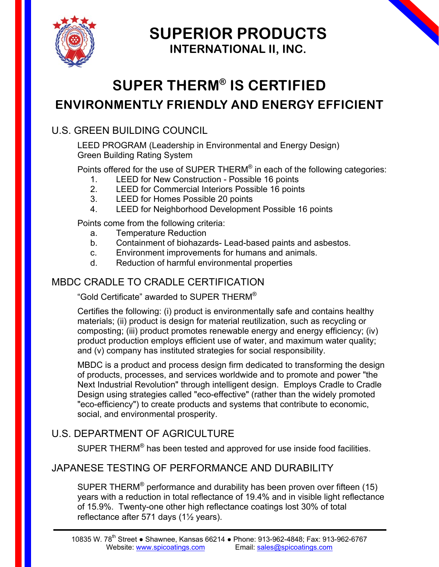

**SUPERIOR PRODUCTS INTERNATIONAL II, INC.**

# **SUPER THERM® IS CERTIFIED ENVIRONMENTLY FRIENDLY AND ENERGY EFFICIENT**

### U.S. GREEN BUILDING COUNCIL

LEED PROGRAM (Leadership in Environmental and Energy Design) Green Building Rating System

Points offered for the use of SUPER THERM® in each of the following categories:

- 1. LEED for New Construction Possible 16 points
- 2. LEED for Commercial Interiors Possible 16 points
- 3. LEED for Homes Possible 20 points
- 4. LEED for Neighborhood Development Possible 16 points

Points come from the following criteria:

- a. Temperature Reduction
- b. Containment of biohazards- Lead-based paints and asbestos.
- c. Environment improvements for humans and animals.
- d. Reduction of harmful environmental properties

### MBDC CRADLE TO CRADLE CERTIFICATION

"Gold Certificate" awarded to SUPER THERM®

Certifies the following: (i) product is environmentally safe and contains healthy materials; (ii) product is design for material reutilization, such as recycling or composting; (iii) product promotes renewable energy and energy efficiency; (iv) product production employs efficient use of water, and maximum water quality; and (v) company has instituted strategies for social responsibility.

MBDC is a product and process design firm dedicated to transforming the design of products, processes, and services worldwide and to promote and power "the Next Industrial Revolution" through intelligent design. Employs Cradle to Cradle Design using strategies called "eco-effective" (rather than the widely promoted "eco-efficiency") to create products and systems that contribute to economic, social, and environmental prosperity.

## U.S. DEPARTMENT OF AGRICULTURE

SUPER THERM® has been tested and approved for use inside food facilities.

### JAPANESE TESTING OF PERFORMANCE AND DURABILITY

SUPER THERM<sup>®</sup> performance and durability has been proven over fifteen (15) years with a reduction in total reflectance of 19.4% and in visible light reflectance of 15.9%. Twenty-one other high reflectance coatings lost 30% of total reflectance after 571 days (1½ years).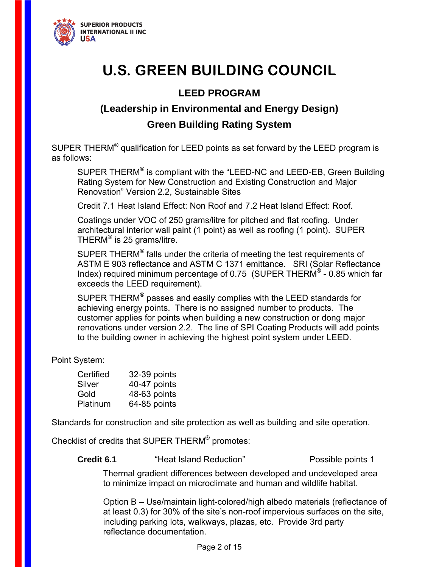

# **U.S. GREEN BUILDING COUNCIL**

### **LEED PROGRAM**

## **(Leadership in Environmental and Energy Design) Green Building Rating System**

SUPER THERM $^{\circ}$  qualification for LEED points as set forward by the LEED program is as follows:

SUPER THERM® is compliant with the "LEED-NC and LEED-EB, Green Building Rating System for New Construction and Existing Construction and Major Renovation" Version 2.2, Sustainable Sites

Credit 7.1 Heat Island Effect: Non Roof and 7.2 Heat Island Effect: Roof.

Coatings under VOC of 250 grams/litre for pitched and flat roofing. Under architectural interior wall paint (1 point) as well as roofing (1 point). SUPER THERM® is 25 grams/litre.

SUPER THERM<sup>®</sup> falls under the criteria of meeting the test requirements of ASTM E 903 reflectance and ASTM C 1371 emittance. SRI (Solar Reflectance Index) required minimum percentage of 0.75 (SUPER THERM® - 0.85 which far exceeds the LEED requirement).

SUPER THERM<sup>®</sup> passes and easily complies with the LEED standards for achieving energy points. There is no assigned number to products. The customer applies for points when building a new construction or dong major renovations under version 2.2. The line of SPI Coating Products will add points to the building owner in achieving the highest point system under LEED.

Point System:

| Certified | 32-39 points |
|-----------|--------------|
| Silver    | 40-47 points |
| Gold      | 48-63 points |
| Platinum  | 64-85 points |

Standards for construction and site protection as well as building and site operation.

Checklist of credits that SUPER THERM® promotes:

**Credit 6.1** "Heat Island Reduction" Possible points 1

Thermal gradient differences between developed and undeveloped area to minimize impact on microclimate and human and wildlife habitat.

Option B – Use/maintain light-colored/high albedo materials (reflectance of at least 0.3) for 30% of the site's non-roof impervious surfaces on the site, including parking lots, walkways, plazas, etc. Provide 3rd party reflectance documentation.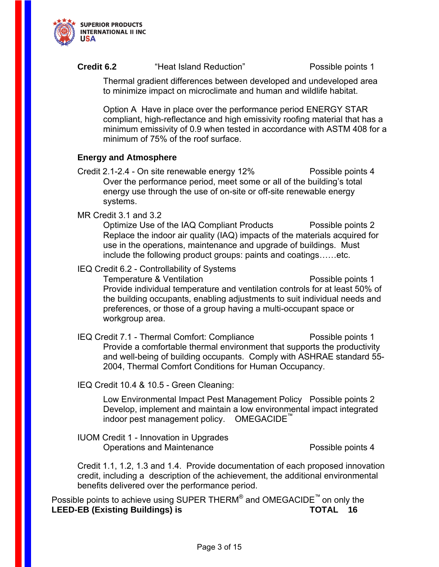

### **Credit 6.2** "Heat Island Reduction" Possible points 1

Thermal gradient differences between developed and undeveloped area to minimize impact on microclimate and human and wildlife habitat.

Option A Have in place over the performance period ENERGY STAR compliant, high-reflectance and high emissivity roofing material that has a minimum emissivity of 0.9 when tested in accordance with ASTM 408 for a minimum of 75% of the roof surface.

### **Energy and Atmosphere**

Credit 2.1-2.4 - On site renewable energy 12% Possible points 4 Over the performance period, meet some or all of the building's total energy use through the use of on-site or off-site renewable energy systems.

MR Credit 3.1 and 3.2

Optimize Use of the IAQ Compliant Products Possible points 2 Replace the indoor air quality (IAQ) impacts of the materials acquired for use in the operations, maintenance and upgrade of buildings. Must include the following product groups: paints and coatings……etc.

IEQ Credit 6.2 - Controllability of Systems

Temperature & Ventilation entitled and the Possible points 1 Provide individual temperature and ventilation controls for at least 50% of the building occupants, enabling adjustments to suit individual needs and preferences, or those of a group having a multi-occupant space or workgroup area.

IEQ Credit 7.1 - Thermal Comfort: Compliance Possible points 1 Provide a comfortable thermal environment that supports the productivity and well-being of building occupants. Comply with ASHRAE standard 55- 2004, Thermal Comfort Conditions for Human Occupancy.

IEQ Credit 10.4 & 10.5 - Green Cleaning:

Low Environmental Impact Pest Management Policy Possible points 2 Develop, implement and maintain a low environmental impact integrated indoor pest management policy. OMEGACIDE

IUOM Credit 1 - Innovation in Upgrades Operations and Maintenance **Possible points 4** 

Credit 1.1, 1.2, 1.3 and 1.4. Provide documentation of each proposed innovation credit, including a description of the achievement, the additional environmental benefits delivered over the performance period.

Possible points to achieve using SUPER THERM<sup>®</sup> and OMEGACIDE<sup>™</sup> on only the **LEED-EB (Existing Buildings) is TOTAL 16**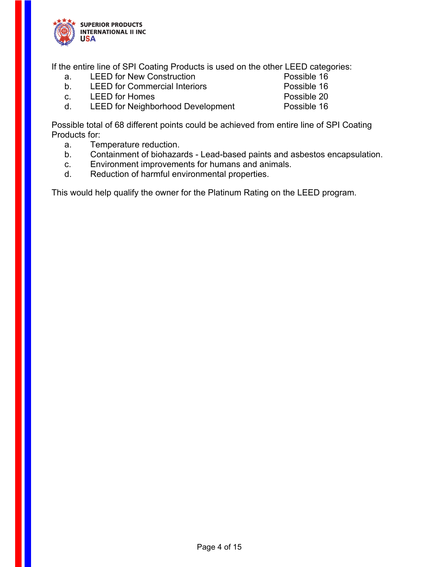

If the entire line of SPI Coating Products is used on the other LEED categories:

- a. LEED for New Construction **Example 16** Possible 16
- b. LEED for Commercial Interiors **Possible 16**
- c. LEED for Homes **Possible 20**
- d. LEED for Neighborhood Development Possible 16

Possible total of 68 different points could be achieved from entire line of SPI Coating Products for:

- a. Temperature reduction.
- b. Containment of biohazards Lead-based paints and asbestos encapsulation.
- c. Environment improvements for humans and animals.
- d. Reduction of harmful environmental properties.

This would help qualify the owner for the Platinum Rating on the LEED program.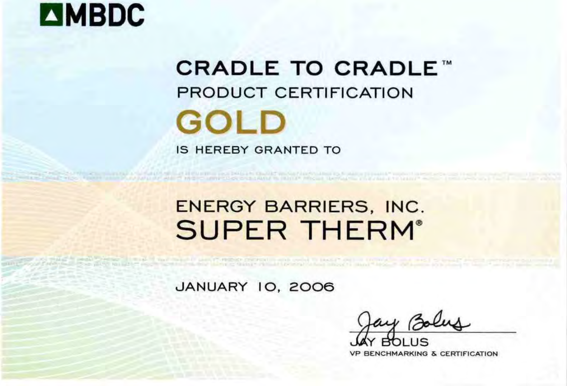# **EMBDC**

# **CRADLE TO CRADLE™ PRODUCT CERTIFICATION GOLD IS HEREBY GRANTED TO**

# **ENERGY BARRIERS, INC. SUPER THERM®**

a positive contract the second contract of the Company of the Contract of the Second Contract of the Second Contract of the Contract of the Contract of the Contract of the Contract of the Contract of the Contract of the Co

**JANUARY 10, 2006** 

A 41 YEAR OLD FEMALE REPORTED HIS AND DRIVEN CHARGE WAS ARRESTED FOR STARTING TO SALES AT HIS AND **FOR PARTIES AND LEASED AND CONSTRUCTION ON AN ARTICLE MICH. HE CAN BE AN ARTICLE AND ARRAIGNMENT AND** 

**VP BENCHMARKING & CERTIFICATION**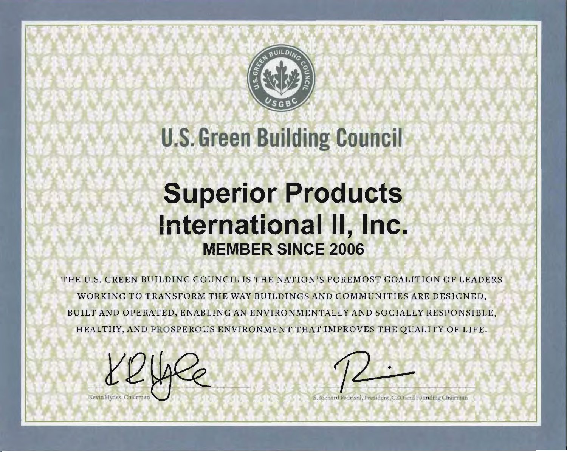

# **U.S. Green Building Council**

# **Superior Products** International II, Inc. **MEMBER SINCE 2006**

THE U.S. GREEN BUILDING COUNCIL IS THE NATION'S FOREMOST COALITION OF LEADERS WORKING TO TRANSFORM THE WAY BUILDINGS AND COMMUNITIES ARE DESIGNED, BUILT AND OPERATED, ENABLING AN ENVIRONMENTALLY AND SOCIALLY RESPONSIBLE, HEALTHY, AND PROSPEROUS ENVIRONMENT THAT IMPROVES THE QUALITY OF LIFE.

Richard Fedrizz), President, CEO and Founding Chairman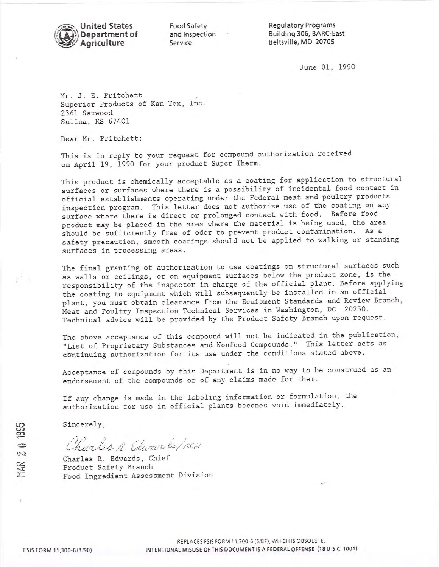

Food Safety and Inspection Service

**Regulatory Programs** Building 306, BARC-East Beltsville, MD 20705

June 01, 1990

Mr. J. E. Pritchett Superior Products of Kan-Tex, Inc. 2361 Saxwood Salina, KS 67401

Dear Mr. Pritchett:

This is in reply to your request for compound authorization received on April 19, 1990 for your product Super Therm.

This product is chemically acceptable as a coating for application to structural surfaces or surfaces where there is a possibility of incidental food contact in official establishments operating under the Federal meat and poultry products inspection program. This letter does not authorize use of the coating on any surface where there is direct or prolonged contact with food. Before food product may be placed in the area where the material is being used, the area should be sufficiently free of odor to prevent product contamination. As a safety precaution, smooth coatings should not be applied to walking or standing surfaces in processing areas.

The final granting of authorization to use coatings on structural surfaces such as walls or ceilings, or on equipment surfaces below the product zone, is the responsibility of the inspector in charge of the official plant. Before applying the coating to equipment which will subsequently be installed in an official plant, you must obtain clearance from the Equipment Standards and Review Branch, Meat and Poultry Inspection Technical Services in Washington, DC 20250. Technical advice will be provided by the Product Safety Branch upon request.

The above acceptance of this compound will not be indicated in the publication, "List of Proprietary Substances and Nonfood Compounds." This letter acts as continuing authorization for its use under the conditions stated above.

Acceptance of compounds by this Department is in no way to be construed as an endorsement of the compounds or of any claims made for them.

If any change is made in the labeling information or formulation, the authorization for use in official plants becomes void immediately.

Sincerely,

Charles R. Edwards/RCH

Charles R. Edwards, Chief Product Safety Branch Food Ingredient Assessment Division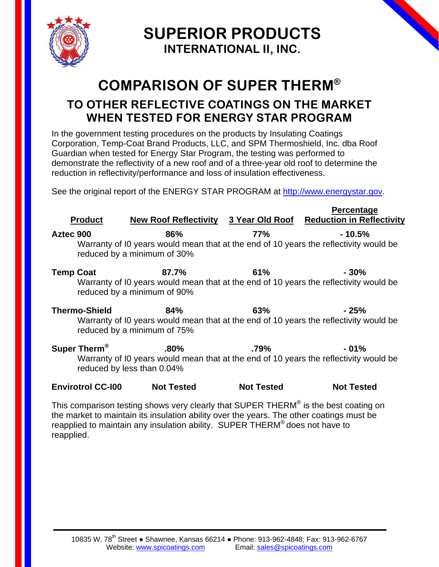

**SUPERIOR PRODUCTS INTERNATIONAL II, INC.**

# **COMPARISON OF SUPER THERM®**

# **TO OTHER REFLECTIVE COATINGS ON THE MARKET WHEN TESTED FOR ENERGY STAR PROGRAM**

In the government testing procedures on the products by Insulating Coatings Corporation, Temp-Coat Brand Products, LLC, and SPM Thermoshield, Inc. dba Roof Guardian when tested for Energy Star Program, the testing was performed to demonstrate the reflectivity of a new roof and of a three-year old roof to determine the reduction in reflectivity/performance and loss of insulation effectiveness.

See the original report of the ENERGY STAR PROGRAM at http://www.energystar.gov.

|                  |                          |                                       |                   | Percentage                                                                                        |
|------------------|--------------------------|---------------------------------------|-------------------|---------------------------------------------------------------------------------------------------|
|                  | <b>Product</b>           | <b>New Roof Reflectivity</b>          | 3 Year Old Roof   | <b>Reduction in Reflectivity</b>                                                                  |
| Aztec 900        |                          | 86%<br>reduced by a minimum of 30%    | <b>77%</b>        | $-10.5%$<br>Warranty of IO years would mean that at the end of 10 years the reflectivity would be |
| <b>Temp Coat</b> |                          | 87.7%<br>reduced by a minimum of 90%  | 61%               | $-30%$<br>Warranty of IO years would mean that at the end of 10 years the reflectivity would be   |
|                  | <b>Thermo-Shield</b>     | 84%<br>reduced by a minimum of 75%    | 63%               | - 25%<br>Warranty of IO years would mean that at the end of 10 years the reflectivity would be    |
|                  | Super Therm <sup>®</sup> | $.80\%$<br>reduced by less than 0.04% | $.79\%$           | $-01%$<br>Warranty of IO years would mean that at the end of 10 years the reflectivity would be   |
|                  | <b>Envirotrol CC-100</b> | <b>Not Tested</b>                     | <b>Not Tested</b> | <b>Not Tested</b>                                                                                 |

This comparison testing shows very clearly that SUPER THERM® is the best coating on the market to maintain its insulation ability over the years. The other coatings must be reapplied to maintain any insulation ability. SUPER THERM® does not have to reapplied.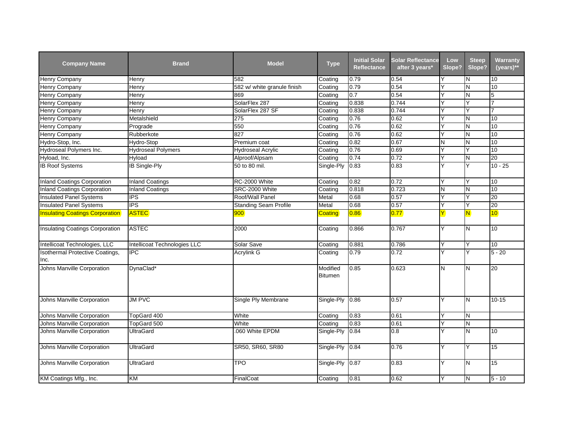| <b>Company Name</b>                     | <b>Brand</b>                 | <b>Model</b>                 | <b>Type</b>         | <b>Initial Solar</b><br><b>Reflectance</b> | <b>Solar Reflectance</b><br>after 3 years* | Low<br>Slope?           | <b>Steep</b><br>Slope?  | Warranty<br>$(years)**$ |
|-----------------------------------------|------------------------------|------------------------------|---------------------|--------------------------------------------|--------------------------------------------|-------------------------|-------------------------|-------------------------|
| <b>Henry Company</b>                    | Henry                        | 582                          | Coating             | 0.79                                       | 0.54                                       |                         | N                       | 10                      |
| Henry Company                           | Henry                        | 582 w/ white granule finish  | Coating             | 0.79                                       | 0.54                                       | Υ                       | N                       | 10                      |
| Henry Company                           | Henry                        | 869                          | Coating             | 0.7                                        | 0.54                                       | ٧                       | N                       | 5                       |
| Henry Company                           | Henry                        | SolarFlex 287                | Coating             | 0.838                                      | 0.744                                      | ٧                       | Y                       | 7                       |
| Henry Company                           | Henry                        | SolarFlex 287 SF             | Coating             | 0.838                                      | 0.744                                      |                         |                         |                         |
| Henry Company                           | Metalshield                  | 275                          | Coating             | 0.76                                       | 0.62                                       | Y                       | N                       | 10                      |
| Henry Company                           | Prograde                     | 550                          | Coating             | 0.76                                       | 0.62                                       | $\overline{\mathsf{Y}}$ | N                       | 10                      |
| <b>Henry Company</b>                    | Rubberkote                   | 827                          | Coating             | 0.76                                       | 0.62                                       | Υ                       | Z                       | 10                      |
| Hydro-Stop, Inc.                        | Hydro-Stop                   | Premium coat                 | Coating             | 0.82                                       | 0.67                                       | N                       | N                       | 10                      |
| Hydroseal Polymers Inc.                 | <b>Hydroseal Polymers</b>    | <b>Hydroseal Acrylic</b>     | Coating             | 0.76                                       | 0.69                                       | Y                       | Y                       | 10                      |
| Hyload, Inc.                            | Hyload                       | Alproof/Alpsam               | Coating             | 0.74                                       | 0.72                                       | Υ                       | N                       | $\overline{20}$         |
| <b>IB Roof Systems</b>                  | IB Single-Ply                | 50 to 80 mil.                | Single-Ply          | 0.83                                       | 0.83                                       |                         | Ÿ                       | $10 - 25$               |
| <b>Inland Coatings Corporation</b>      | <b>Inland Coatings</b>       | RC-2000 White                | Coating             | 0.82                                       | 0.72                                       | Y                       | Υ                       | 10                      |
| <b>Inland Coatings Corporation</b>      | <b>Inland Coatings</b>       | SRC-2000 White               | Coating             | 0.818                                      | 0.723                                      | N                       | N                       | 10                      |
| <b>Insulated Panel Systems</b>          | <b>IPS</b>                   | Roof/Wall Panel              | Metal               | 0.68                                       | 0.57                                       | $\overline{\mathsf{Y}}$ | Y                       | 20                      |
| <b>Insulated Panel Systems</b>          | <b>IPS</b>                   | <b>Standing Seam Profile</b> | Metal               | 0.68                                       | 0.57                                       | Y                       | Y                       | 20                      |
| <b>Insulating Coatings Corporation</b>  | <b>ASTEC</b>                 | 900                          | <b>Coating</b>      | 0.86                                       | 0.77                                       | Y                       | $\overline{\mathsf{N}}$ | 10                      |
| <b>Insulating Coatings Corporation</b>  | <b>ASTEC</b>                 | 2000                         | Coating             | 0.866                                      | 0.767                                      | Y                       | N                       | 10                      |
| Intellicoat Technologies, LLC           | Intellicoat Technologies LLC | Solar Save                   | Coating             | 0.881                                      | 0.786                                      | Υ                       | Y                       | 10 <sup>10</sup>        |
| Isothermal Protective Coatings,<br>Inc. | <b>IPC</b>                   | <b>Acrylink G</b>            | Coating             | 0.79                                       | 0.72                                       | Y                       | Y                       | $5 - 20$                |
| Johns Manville Corporation              | DynaClad*                    |                              | Modified<br>Bitumen | 0.85                                       | 0.623                                      | N                       | N                       | 20                      |
| Johns Manville Corporation              | <b>JM PVC</b>                | Single Ply Membrane          | Single-Ply          | 0.86                                       | 0.57                                       | Y                       | Z                       | $10 - 15$               |
| Johns Manville Corporation              | TopGard 400                  | White                        | Coating             | 0.83                                       | 0.61                                       | Y                       | IN.                     |                         |
| Johns Manville Corporation              | TopGard 500                  | White                        | Coating             | 0.83                                       | 0.61                                       | Υ                       | Z                       |                         |
| Johns Manville Corporation              | <b>UltraGard</b>             | .060 White EPDM              | Single-Ply          | 0.84                                       | 0.8                                        | ٧                       | Z                       | 10                      |
| Johns Manville Corporation              | <b>UltraGard</b>             | SR50, SR60, SR80             | Single-Ply          | 0.84                                       | 0.76                                       | Ÿ                       | Y                       | 15                      |
| Johns Manville Corporation              | <b>UltraGard</b>             | TPO                          | Single-Ply          | 0.87                                       | 0.83                                       | Υ                       | N                       | 15                      |
| KM Coatings Mfg., Inc.                  | KM                           | FinalCoat                    | Coating             | 0.81                                       | 0.62                                       | Υ                       | N                       | $5 - 10$                |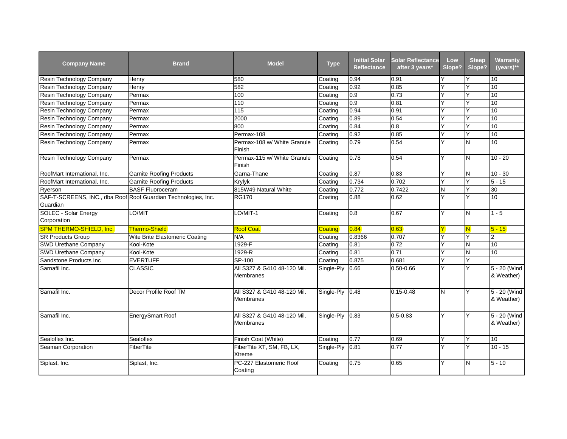| <b>Company Name</b>                                            | <b>Brand</b>                    | <b>Model</b>                                    | <b>Type</b> | <b>Initial Solar</b><br><b>Reflectance</b> | <b>Solar Reflectance</b><br>after 3 years* | Low<br>Slope? | <b>Steep</b><br>Slope? | Warranty<br>$(years)**$    |
|----------------------------------------------------------------|---------------------------------|-------------------------------------------------|-------------|--------------------------------------------|--------------------------------------------|---------------|------------------------|----------------------------|
| <b>Resin Technology Company</b>                                | Henry                           | 580                                             | Coating     | 0.94                                       | 0.91                                       | Y             |                        | 10                         |
| Resin Technology Company                                       | Henry                           | 582                                             | Coating     | 0.92                                       | 0.85                                       | Y             | Υ                      | 10                         |
| Resin Technology Company                                       | Permax                          | 100                                             | Coating     | 0.9                                        | 0.73                                       | Y             | Υ                      | 10                         |
| Resin Technology Company                                       | Permax                          | 110                                             | Coating     | 0.9                                        | 0.81                                       | Y             |                        | 10                         |
| Resin Technology Company                                       | Permax                          | 115                                             | Coating     | 0.94                                       | 0.91                                       | Y             |                        | 10                         |
| Resin Technology Company                                       | Permax                          | 2000                                            | Coating     | 0.89                                       | 0.54                                       | Y             | Y                      | 10                         |
| Resin Technology Company                                       | Permax                          | 800                                             | Coating     | 0.84                                       | 0.8                                        | Y             | ٧                      | 10                         |
| Resin Technology Company                                       | Permax                          | Permax-108                                      | Coating     | 0.92                                       | 0.85                                       | Y             | Y                      | 10                         |
| Resin Technology Company                                       | Permax                          | Permax-108 w/ White Granule<br>Finish           | Coating     | 0.79                                       | 0.54                                       | Y             | N                      | 10                         |
| Resin Technology Company                                       | Permax                          | Permax-115 w/ White Granule<br>Finish           | Coating     | 0.78                                       | 0.54                                       | Y             | N                      | $10 - 20$                  |
| RoofMart International, Inc.                                   | <b>Garnite Roofing Products</b> | Garna-Thane                                     | Coating     | 0.87                                       | 0.83                                       | Y             | N.                     | $10 - 30$                  |
| RoofMart International, Inc.                                   | <b>Garnite Roofing Products</b> | <b>Krylyk</b>                                   | Coating     | 0.734                                      | 0.702                                      | Y             | Y                      | $5 - 15$                   |
| Ryerson                                                        | <b>BASF Fluoroceram</b>         | 815W49 Natural White                            | Coating     | 0.772                                      | 0.7422                                     | Ν             |                        | 30                         |
| SAF-T-SCREENS, INC., dba Roof Roof Guardian Technologies, Inc. |                                 | <b>RG170</b>                                    | Coating     | 0.88                                       | 0.62                                       | Y             | Υ                      | 10                         |
| Guardian                                                       |                                 |                                                 |             |                                            |                                            |               |                        |                            |
| <b>SOLEC - Solar Energy</b>                                    | LO/MIT                          | LO/MIT-1                                        | Coating     | 0.8                                        | 0.67                                       | Y             | N                      | $1 - 5$                    |
| Corporation                                                    |                                 |                                                 |             |                                            |                                            |               |                        |                            |
| SPM THERMO-SHIELD, Inc.                                        | <b>Thermo-Shield</b>            | <b>Roof Coat</b>                                | Coating     | 0.84                                       | 0.63                                       | Y             | N                      | $5 - 15$                   |
| <b>SR Products Group</b>                                       | Wite Brite Elastomeric Coating  | N/A                                             | Coating     | 0.8366                                     | 0.707                                      | Y             | Y                      | $\overline{2}$             |
| SWD Urethane Company                                           | Kool-Kote                       | 1929-F                                          | Coating     | 0.81                                       | 0.72                                       | Y             | N                      | 10                         |
| <b>SWD Urethane Company</b>                                    | Kool-Kote                       | 1929-R                                          | Coating     | 0.81                                       | 0.71                                       | Y             | N                      | 10                         |
| Sandstone Products Inc                                         | <b>EVERTUFF</b>                 | SP-100                                          | Coating     | 0.875                                      | 0.681                                      | Y             | Υ                      |                            |
| Sarnafil Inc.                                                  | <b>CLASSIC</b>                  | All S327 & G410 48-120 Mil.<br>Membranes        | Single-Ply  | 0.66                                       | $0.50 - 0.66$                              | Y             | Y                      | 5 - 20 (Wind<br>& Weather) |
| Sarnafil Inc.                                                  | Decor Profile Roof TM           | All S327 & G410 48-120 Mil.<br><b>Membranes</b> | Single-Ply  | 0.48                                       | $0.15 - 0.48$                              | N             | Y                      | 5 - 20 (Wind<br>& Weather) |
| Sarnafil Inc.                                                  | <b>EnergySmart Roof</b>         | All S327 & G410 48-120 Mil.<br>Membranes        | Single-Ply  | 0.83                                       | $0.5 - 0.83$                               | Υ             | Y                      | 5 - 20 (Wind<br>& Weather) |
| Sealoflex Inc.                                                 | Sealoflex                       | Finish Coat (White)                             | Coating     | 0.77                                       | 0.69                                       | Y             | Y                      | 10                         |
| Seaman Corporation                                             | FiberTite                       | FiberTite XT, SM, FB, LX,<br>Xtreme             | Single-Ply  | 0.81                                       | 0.77                                       | Y             | Y                      | $10 - 15$                  |
| Siplast, Inc.                                                  | Siplast, Inc.                   | PC-227 Elastomeric Roof<br>Coating              | Coating     | 0.75                                       | 0.65                                       | Υ             | N                      | $5 - 10$                   |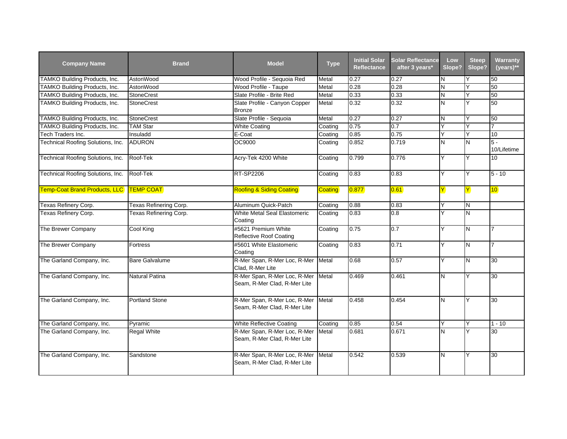| <b>Company Name</b>               | <b>Brand</b>           | <b>Model</b>                                                 | <b>Type</b>    | <b>Initial Solar</b><br><b>Reflectance</b> | <b>Solar Reflectance</b><br>after 3 years* | Low<br>Slope? | <b>Steep</b><br>Slope? | Warranty<br>$(years)**$ |
|-----------------------------------|------------------------|--------------------------------------------------------------|----------------|--------------------------------------------|--------------------------------------------|---------------|------------------------|-------------------------|
| TAMKO Building Products, Inc.     | AstonWood              | Wood Profile - Sequoia Red                                   | Metal          | 0.27                                       | 0.27                                       | N             |                        | 50                      |
| TAMKO Building Products, Inc.     | AstonWood              | Wood Profile - Taupe                                         | Metal          | 0.28                                       | 0.28                                       | N             | Y                      | 50                      |
| TAMKO Building Products, Inc.     | <b>StoneCrest</b>      | Slate Profile - Brite Red                                    | Metal          | 0.33                                       | 0.33                                       | N             | Y                      | 50                      |
| TAMKO Building Products, Inc.     | <b>StoneCrest</b>      | Slate Profile - Canyon Copper<br><b>Bronze</b>               | Metal          | 0.32                                       | 0.32                                       | N             | Y                      | 50                      |
| TAMKO Building Products, Inc.     | <b>StoneCrest</b>      | Slate Profile - Sequoia                                      | Metal          | 0.27                                       | 0.27                                       | N             | Y                      | 50                      |
| TAMKO Building Products, Inc.     | <b>TAM Star</b>        | <b>White Coating</b>                                         | Coating        | 0.75                                       | 0.7                                        | Y             |                        |                         |
| Tech Traders Inc.                 | Insuladd               | E-Coat                                                       | Coating        | 0.85                                       | 0.75                                       | Y             | Y                      | 10                      |
| Technical Roofing Solutions, Inc. | <b>ADURON</b>          | OC9000                                                       | Coating        | 0.852                                      | 0.719                                      | N             | N                      | $5 -$<br>10/Lifetime    |
| Technical Roofing Solutions, Inc. | Roof-Tek               | Acry-Tek 4200 White                                          | Coating        | 0.799                                      | 0.776                                      | Y             | Y                      | $\overline{10}$         |
| Technical Roofing Solutions, Inc. | Roof-Tek               | <b>RT-SP2206</b>                                             | Coating        | 0.83                                       | 0.83                                       | Y             | Y                      | $5 - 10$                |
| Temp-Coat Brand Products, LLC     | <b>TEMP COAT</b>       | <b>Roofing &amp; Siding Coating</b>                          | <b>Coating</b> | 0.877                                      | $ 0.61\rangle$                             | Y             | Y.                     | 10 <sub>o</sub>         |
| Texas Refinery Corp.              | Texas Refinering Corp. | Aluminum Quick-Patch                                         | Coating        | 0.88                                       | 0.83                                       | Y             | N                      |                         |
| Texas Refinery Corp.              | Texas Refinering Corp. | White Metal Seal Elastomeric<br>Coating                      | Coating        | 0.83                                       | 0.8                                        | Y             | N                      |                         |
| The Brewer Company                | Cool King              | #5621 Premium White<br>Reflective Roof Coating               | Coating        | 0.75                                       | 0.7                                        | Y             | N                      | $\overline{7}$          |
| The Brewer Company                | Fortress               | #5601 White Elastomeric<br>Coating                           | Coating        | 0.83                                       | 0.71                                       | Y             | N                      | 7                       |
| The Garland Company, Inc.         | <b>Bare Galvalume</b>  | R-Mer Span, R-Mer Loc, R-Mer<br>Clad, R-Mer Lite             | Metal          | 0.68                                       | 0.57                                       | Y             | N                      | 30                      |
| The Garland Company, Inc.         | Natural Patina         | R-Mer Span, R-Mer Loc, R-Mer<br>Seam, R-Mer Clad, R-Mer Lite | Metal          | 0.469                                      | 0.461                                      | IN.           | Y                      | 30                      |
| The Garland Company, Inc.         | <b>Portland Stone</b>  | R-Mer Span, R-Mer Loc, R-Mer<br>Seam, R-Mer Clad, R-Mer Lite | Metal          | 0.458                                      | 0.454                                      | N             | Y                      | 30                      |
| The Garland Company, Inc.         | Pyramic                | White Reflective Coating                                     | Coating        | 0.85                                       | 0.54                                       | Y             | Y                      | $1 - 10$                |
| The Garland Company, Inc.         | Regal White            | R-Mer Span, R-Mer Loc, R-Mer<br>Seam, R-Mer Clad, R-Mer Lite | Metal          | 0.681                                      | 0.671                                      | N             | Y                      | 30                      |
| The Garland Company, Inc.         | Sandstone              | R-Mer Span, R-Mer Loc, R-Mer<br>Seam, R-Mer Clad, R-Mer Lite | Metal          | 0.542                                      | 0.539                                      | lΝ            | Y                      | 30                      |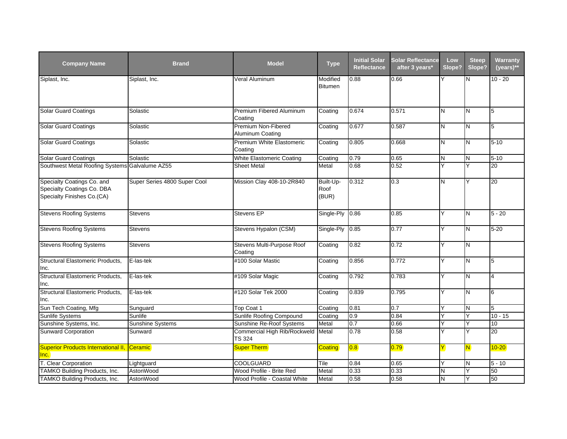| <b>Company Name</b>                                                                    | <b>Brand</b>                 | <b>Model</b>                                        | <b>Type</b>                | <b>Initial Solar</b><br><b>Reflectance</b> | <b>Solar Reflectance</b><br>after 3 years* | Low<br>Slope? | <b>Steep</b><br>Slope? | <b>Warranty</b><br>$(years)**$ |
|----------------------------------------------------------------------------------------|------------------------------|-----------------------------------------------------|----------------------------|--------------------------------------------|--------------------------------------------|---------------|------------------------|--------------------------------|
| Siplast, Inc.                                                                          | Siplast, Inc.                | Veral Aluminum                                      | Modified<br><b>Bitumen</b> | 0.88                                       | 0.66                                       |               | Ν                      | $10 - 20$                      |
| <b>Solar Guard Coatings</b>                                                            | Solastic                     | Premium Fibered Aluminum<br>Coating                 | Coating                    | 0.674                                      | 0.571                                      | N             | N                      | 5                              |
| <b>Solar Guard Coatings</b>                                                            | Solastic                     | Premium Non-Fibered<br>Aluminum Coating             | Coating                    | 0.677                                      | 0.587                                      | N             | N                      | 5                              |
| <b>Solar Guard Coatings</b>                                                            | Solastic                     | Premium White Elastomeric<br>Coating                | Coating                    | 0.805                                      | 0.668                                      | N             | Z                      | $5 - 10$                       |
| <b>Solar Guard Coatings</b>                                                            | Solastic                     | <b>White Elastomeric Coating</b>                    | Coating                    | 0.79                                       | 0.65                                       | N             | N                      | $5 - 10$                       |
| Southwest Metal Roofing Systems Galvalume AZ55                                         |                              | <b>Sheet Metal</b>                                  | Metal                      | 0.68                                       | 0.52                                       | Ÿ             | Y                      | 20                             |
| Specialty Coatings Co. and<br>Specialty Coatings Co. DBA<br>Specialty Finishes Co.(CA) | Super Series 4800 Super Cool | Mission Clay 408-10-2R840                           | Built-Up-<br>Roof<br>(BUR) | 0.312                                      | 0.3                                        | N             | Y                      | 20                             |
| <b>Stevens Roofing Systems</b>                                                         | <b>Stevens</b>               | Stevens EP                                          | Single-Ply                 | 0.86                                       | 0.85                                       | Υ             | N                      | $5 - 20$                       |
| <b>Stevens Roofing Systems</b>                                                         | Stevens                      | Stevens Hypalon (CSM)                               | Single-Ply                 | 0.85                                       | 0.77                                       | Y             | N                      | $5 - 20$                       |
| <b>Stevens Roofing Systems</b>                                                         | Stevens                      | Stevens Multi-Purpose Roof<br>Coating               | Coating                    | 0.82                                       | 0.72                                       | Y             | N                      |                                |
| Structural Elastomeric Products,<br>Inc.                                               | E-las-tek                    | #100 Solar Mastic                                   | Coating                    | 0.856                                      | 0.772                                      | Y             | N                      | 5                              |
| Structural Elastomeric Products,<br>Inc.                                               | E-las-tek                    | #109 Solar Magic                                    | Coating                    | 0.792                                      | 0.783                                      | Y             | N                      | $\overline{4}$                 |
| Structural Elastomeric Products,<br>Inc.                                               | E-las-tek                    | #120 Solar Tek 2000                                 | Coating                    | 0.839                                      | 0.795                                      | Y             | N                      | 6                              |
| Sun Tech Coating, Mfg                                                                  | Sunguard                     | Top Coat 1                                          | Coating                    | 0.81                                       | 0.7                                        | Y             | N                      | 5                              |
| Sunlife Systems                                                                        | Sunlife                      | Sunlife Roofing Compound                            | Coating                    | 0.9                                        | 0.84                                       | Ÿ             | Y                      | $10 - 15$                      |
| Sunshine Systems, Inc.                                                                 | Sunshine Systems             | Sunshine Re-Roof Systems                            | Metal                      | 0.7                                        | 0.66                                       | Υ             | Y                      | 10                             |
| <b>Sunward Corporation</b>                                                             | Sunward                      | Commercial High Rib/Rockweld Metal<br><b>TS 324</b> |                            | 0.78                                       | 0.58                                       | Y             | Y                      | 20                             |
| <b>Superior Products International II,</b><br>Inc.                                     | Ceramic                      | <b>Super Therm</b>                                  | Coating                    | 0.8                                        | 0.79                                       | Y             | N.                     | $10 - 20$                      |
| T. Clear Corporation                                                                   | Lightguard                   | COOLGUARD                                           | Tile                       | 0.84                                       | 0.65                                       | Y             | N                      | $5 - 10$                       |
| TAMKO Building Products, Inc.                                                          | AstonWood                    | Wood Profile - Brite Red                            | Metal                      | 0.33                                       | 0.33                                       | N             | Y                      | 50                             |
| TAMKO Building Products, Inc.                                                          | AstonWood                    | Wood Profile - Coastal White                        | Metal                      | 0.58                                       | 0.58                                       | N             | Y                      | 50                             |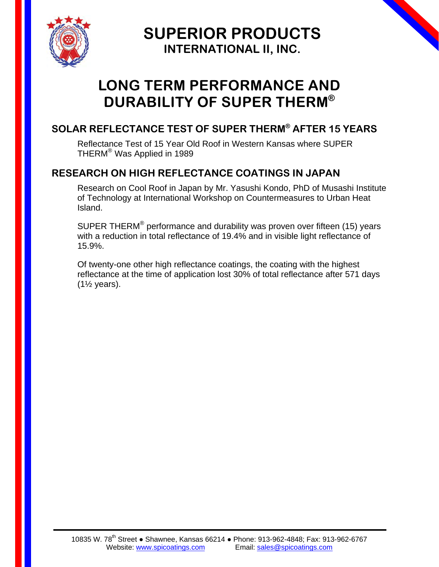

**SUPERIOR PRODUCTS INTERNATIONAL II, INC.**

# **LONG TERM PERFORMANCE AND DURABILITY OF SUPER THERM®**

## **SOLAR REFLECTANCE TEST OF SUPER THERM® AFTER 15 YEARS**

Reflectance Test of 15 Year Old Roof in Western Kansas where SUPER THERM® Was Applied in 1989

### **RESEARCH ON HIGH REFLECTANCE COATINGS IN JAPAN**

Research on Cool Roof in Japan by Mr. Yasushi Kondo, PhD of Musashi Institute of Technology at International Workshop on Countermeasures to Urban Heat Island.

SUPER THERM<sup>®</sup> performance and durability was proven over fifteen (15) years with a reduction in total reflectance of 19.4% and in visible light reflectance of 15.9%.

Of twenty-one other high reflectance coatings, the coating with the highest reflectance at the time of application lost 30% of total reflectance after 571 days  $(1\frac{1}{2}$  years).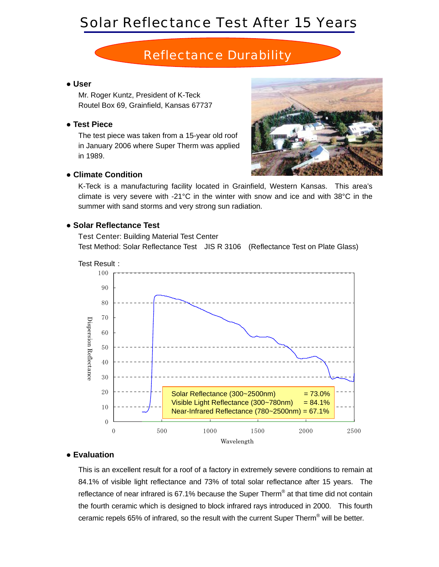# Solar Reflectance Test After 15 Years

## *Reflectance Durability*

#### ● **User**

Mr. Roger Kuntz, President of K-Teck Routel Box 69, Grainfield, Kansas 67737

#### ● **Test Piece**

The test piece was taken from a 15-year old roof in January 2006 where Super Therm was applied in 1989.



### ● **Climate Condition**

K-Teck is a manufacturing facility located in Grainfield, Western Kansas. This area's climate is very severe with -21°C in the winter with snow and ice and with 38°C in the summer with sand storms and very strong sun radiation.

#### ● **Solar Reflectance Test**

Test Center: Building Material Test Center Test Method: Solar Reflectance Test JIS R 3106 (Reflectance Test on Plate Glass)



#### ● **Evaluation**

This is an excellent result for a roof of a factory in extremely severe conditions to remain at 84.1% of visible light reflectance and 73% of total solar reflectance after 15 years. The reflectance of near infrared is 67.1% because the Super Therm® at that time did not contain the fourth ceramic which is designed to block infrared rays introduced in 2000. This fourth ceramic repels 65% of infrared, so the result with the current Super Therm® will be better.